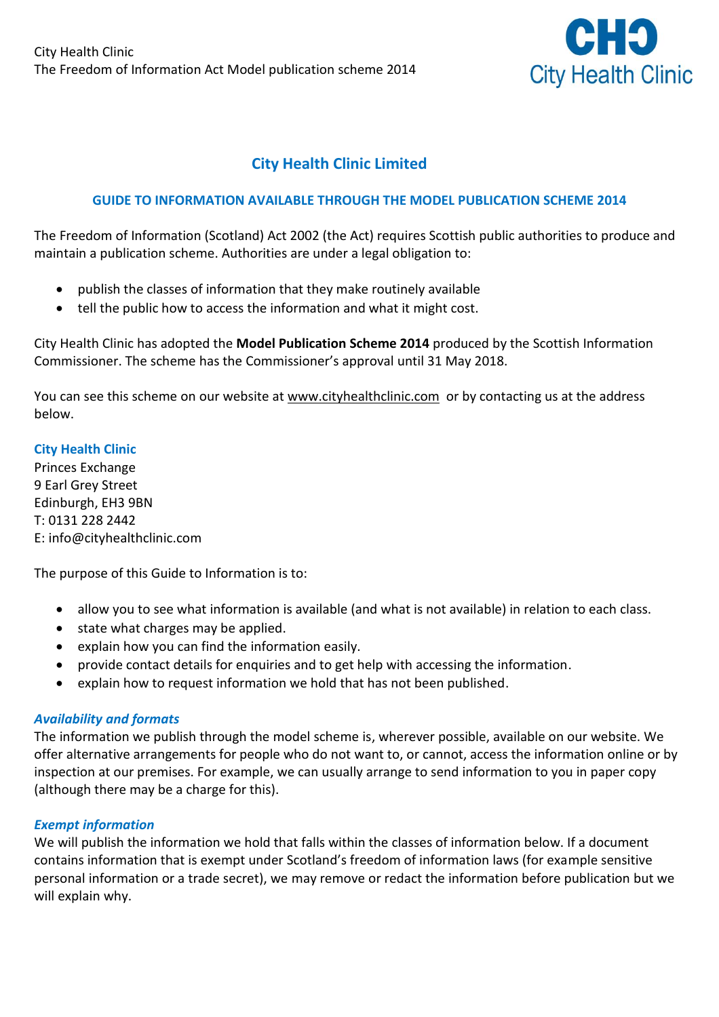

# **City Health Clinic Limited**

## **GUIDE TO INFORMATION AVAILABLE THROUGH THE MODEL PUBLICATION SCHEME 2014**

The Freedom of Information (Scotland) Act 2002 (the Act) requires Scottish public authorities to produce and maintain a publication scheme. Authorities are under a legal obligation to:

- publish the classes of information that they make routinely available
- tell the public how to access the information and what it might cost.

City Health Clinic has adopted the **Model Publication Scheme 2014** produced by the Scottish Information Commissioner. The scheme has the Commissioner's approval until 31 May 2018.

You can see this scheme on our website at [www.cityhealthclinic.com](http://www.cityhealthclinic.com/) or by contacting us at the address below.

## **City Health Clinic**

Princes Exchange 9 Earl Grey Street Edinburgh, EH3 9BN T: 0131 228 2442 E: info@cityhealthclinic.com

The purpose of this Guide to Information is to:

- allow you to see what information is available (and what is not available) in relation to each class.
- state what charges may be applied.
- explain how you can find the information easily.
- provide contact details for enquiries and to get help with accessing the information.
- explain how to request information we hold that has not been published.

#### *Availability and formats*

The information we publish through the model scheme is, wherever possible, available on our website. We offer alternative arrangements for people who do not want to, or cannot, access the information online or by inspection at our premises. For example, we can usually arrange to send information to you in paper copy (although there may be a charge for this).

#### *Exempt information*

We will publish the information we hold that falls within the classes of information below. If a document contains information that is exempt under Scotland's freedom of information laws (for example sensitive personal information or a trade secret), we may remove or redact the information before publication but we will explain why.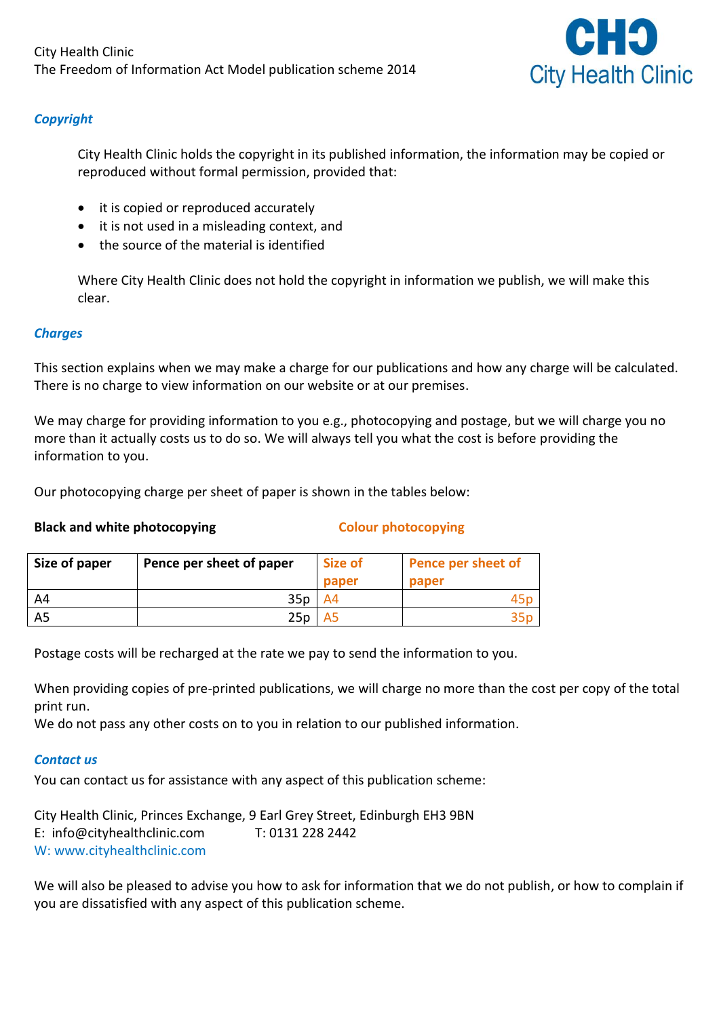

## *Copyright*

City Health Clinic holds the copyright in its published information, the information may be copied or reproduced without formal permission, provided that:

- it is copied or reproduced accurately
- it is not used in a misleading context, and
- the source of the material is identified

Where City Health Clinic does not hold the copyright in information we publish, we will make this clear.

## *Charges*

This section explains when we may make a charge for our publications and how any charge will be calculated. There is no charge to view information on our website or at our premises.

We may charge for providing information to you e.g., photocopying and postage, but we will charge you no more than it actually costs us to do so. We will always tell you what the cost is before providing the information to you.

Our photocopying charge per sheet of paper is shown in the tables below:

## **Black and white photocopying Colour photocopying**

| Size of paper | Pence per sheet of paper | Size of<br>paper | Pence per sheet of<br>paper |
|---------------|--------------------------|------------------|-----------------------------|
|               | 35p                      | A4               | 45r                         |
|               | 25p                      | A5               |                             |

Postage costs will be recharged at the rate we pay to send the information to you.

When providing copies of pre-printed publications, we will charge no more than the cost per copy of the total print run.

We do not pass any other costs on to you in relation to our published information.

## *Contact us*

You can contact us for assistance with any aspect of this publication scheme:

City Health Clinic, Princes Exchange, 9 Earl Grey Street, Edinburgh EH3 9BN E: [info@cityhealthclinic.com](mailto:info@cityhealthclinic.com) T: 0131 228 2442 W: www.cityhealthclinic.com

We will also be pleased to advise you how to ask for information that we do not publish, or how to complain if you are dissatisfied with any aspect of this publication scheme.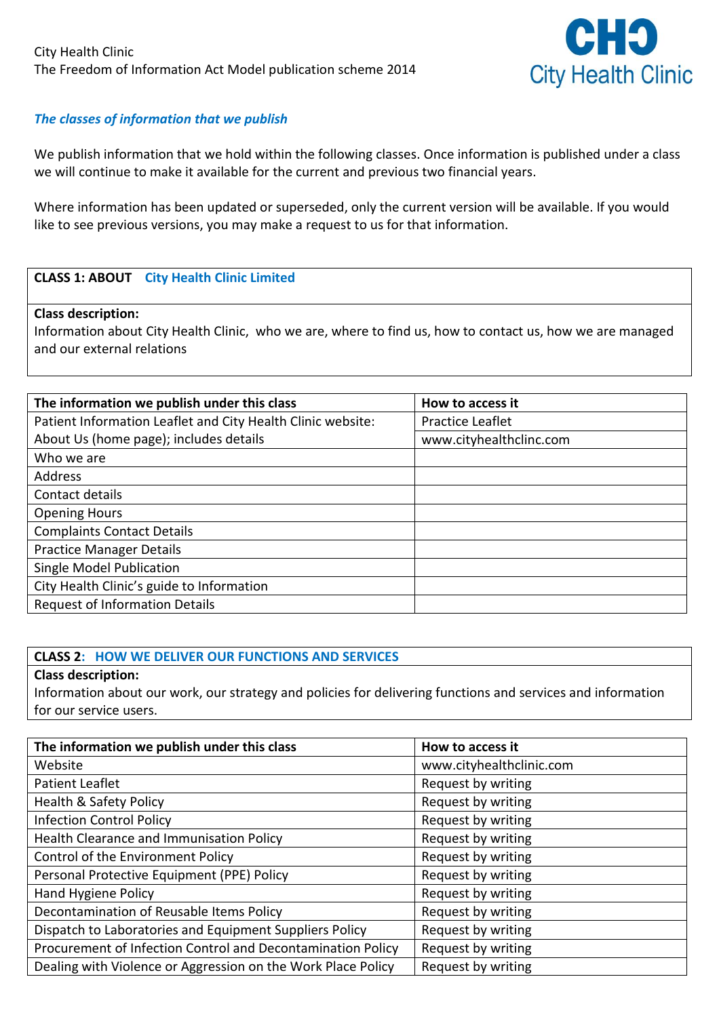

## *The classes of information that we publish*

We publish information that we hold within the following classes. Once information is published under a class we will continue to make it available for the current and previous two financial years.

Where information has been updated or superseded, only the current version will be available. If you would like to see previous versions, you may make a request to us for that information.

## **CLASS 1: ABOUT City Health Clinic Limited**

#### **Class description:**

Information about City Health Clinic, who we are, where to find us, how to contact us, how we are managed and our external relations

| The information we publish under this class                 | How to access it        |
|-------------------------------------------------------------|-------------------------|
| Patient Information Leaflet and City Health Clinic website: | Practice Leaflet        |
| About Us (home page); includes details                      | www.cityhealthclinc.com |
| Who we are                                                  |                         |
| Address                                                     |                         |
| Contact details                                             |                         |
| <b>Opening Hours</b>                                        |                         |
| <b>Complaints Contact Details</b>                           |                         |
| <b>Practice Manager Details</b>                             |                         |
| <b>Single Model Publication</b>                             |                         |
| City Health Clinic's guide to Information                   |                         |
| <b>Request of Information Details</b>                       |                         |

## **CLASS 2: HOW WE DELIVER OUR FUNCTIONS AND SERVICES**

**Class description:**

Information about our work, our strategy and policies for delivering functions and services and information for our service users.

| The information we publish under this class                  | How to access it         |
|--------------------------------------------------------------|--------------------------|
| Website                                                      | www.cityhealthclinic.com |
| Patient Leaflet                                              | Request by writing       |
| Health & Safety Policy                                       | Request by writing       |
| <b>Infection Control Policy</b>                              | Request by writing       |
| Health Clearance and Immunisation Policy                     | Request by writing       |
| Control of the Environment Policy                            | Request by writing       |
| Personal Protective Equipment (PPE) Policy                   | Request by writing       |
| Hand Hygiene Policy                                          | Request by writing       |
| Decontamination of Reusable Items Policy                     | Request by writing       |
| Dispatch to Laboratories and Equipment Suppliers Policy      | Request by writing       |
| Procurement of Infection Control and Decontamination Policy  | Request by writing       |
| Dealing with Violence or Aggression on the Work Place Policy | Request by writing       |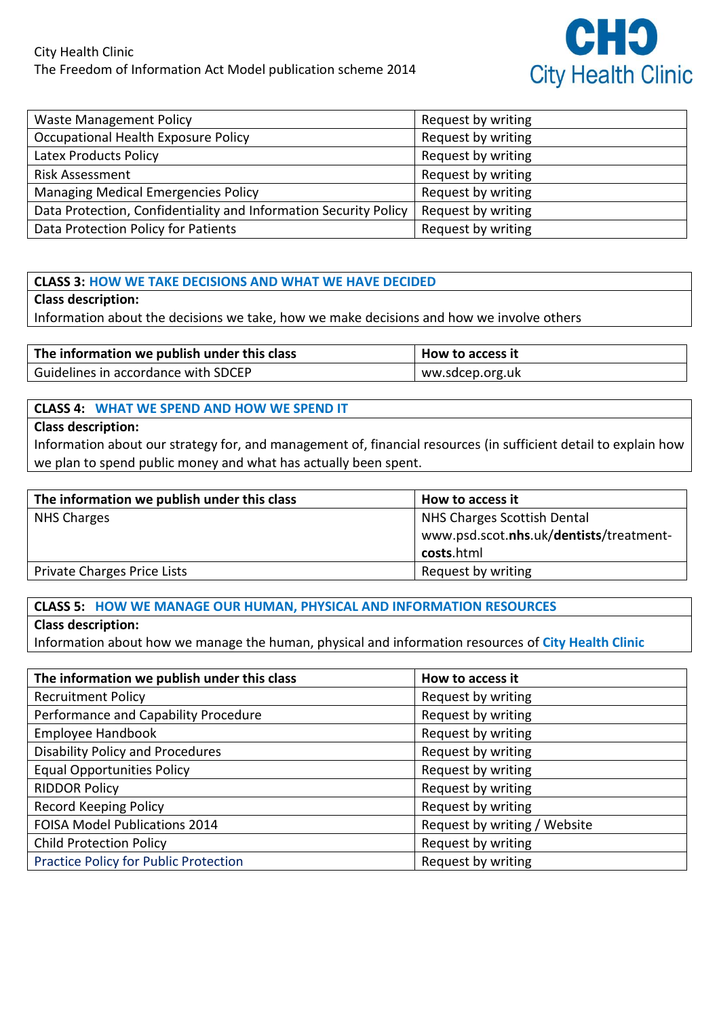

| <b>Waste Management Policy</b>                                   | Request by writing |
|------------------------------------------------------------------|--------------------|
| Occupational Health Exposure Policy                              | Request by writing |
| Latex Products Policy                                            | Request by writing |
| <b>Risk Assessment</b>                                           | Request by writing |
| <b>Managing Medical Emergencies Policy</b>                       | Request by writing |
| Data Protection, Confidentiality and Information Security Policy | Request by writing |
| Data Protection Policy for Patients                              | Request by writing |

#### **CLASS 3: HOW WE TAKE DECISIONS AND WHAT WE HAVE DECIDED**

#### **Class description:**

Information about the decisions we take, how we make decisions and how we involve others

| The information we publish under this class | How to access it |
|---------------------------------------------|------------------|
| Guidelines in accordance with SDCEP         | ww.sdcep.org.uk  |

#### **CLASS 4: WHAT WE SPEND AND HOW WE SPEND IT**

#### **Class description:**

Information about our strategy for, and management of, financial resources (in sufficient detail to explain how we plan to spend public money and what has actually been spent.

| The information we publish under this class | How to access it                        |
|---------------------------------------------|-----------------------------------------|
| NHS Charges                                 | NHS Charges Scottish Dental             |
|                                             | www.psd.scot.nhs.uk/dentists/treatment- |
|                                             | costs.html                              |
| Private Charges Price Lists                 | Request by writing                      |

## **CLASS 5: HOW WE MANAGE OUR HUMAN, PHYSICAL AND INFORMATION RESOURCES**

#### **Class description:**

Information about how we manage the human, physical and information resources of **City Health Clinic**

| The information we publish under this class  | How to access it             |
|----------------------------------------------|------------------------------|
| <b>Recruitment Policy</b>                    | Request by writing           |
| Performance and Capability Procedure         | Request by writing           |
| Employee Handbook                            | Request by writing           |
| <b>Disability Policy and Procedures</b>      | Request by writing           |
| <b>Equal Opportunities Policy</b>            | Request by writing           |
| <b>RIDDOR Policy</b>                         | Request by writing           |
| Record Keeping Policy                        | Request by writing           |
| FOISA Model Publications 2014                | Request by writing / Website |
| <b>Child Protection Policy</b>               | Request by writing           |
| <b>Practice Policy for Public Protection</b> | Request by writing           |